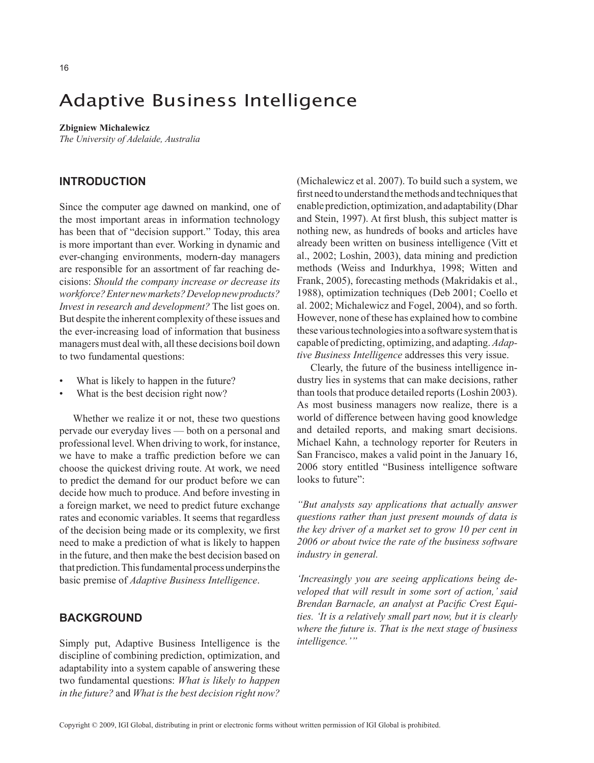# Adaptive Business Intelligence

**Zbigniew Michalewicz**

*The University of Adelaide, Australia*

# **INTRODUCTION**

Since the computer age dawned on mankind, one of the most important areas in information technology has been that of "decision support." Today, this area is more important than ever. Working in dynamic and ever-changing environments, modern-day managers are responsible for an assortment of far reaching decisions: *Should the company increase or decrease its workforce? Enter new markets? Develop new products? Invest in research and development?* The list goes on. But despite the inherent complexity of these issues and the ever-increasing load of information that business managers must deal with, all these decisions boil down to two fundamental questions:

- What is likely to happen in the future? •
- What is the best decision right now? •

Whether we realize it or not, these two questions pervade our everyday lives — both on a personal and professional level. When driving to work, for instance, we have to make a traffic prediction before we can choose the quickest driving route. At work, we need to predict the demand for our product before we can decide how much to produce. And before investing in a foreign market, we need to predict future exchange rates and economic variables. It seems that regardless of the decision being made or its complexity, we first need to make a prediction of what is likely to happen in the future, and then make the best decision based on that prediction. This fundamental process underpins the basic premise of *Adaptive Business Intelligence*.

## **BACKGROUND**

Simply put, Adaptive Business Intelligence is the discipline of combining prediction, optimization, and adaptability into a system capable of answering these two fundamental questions: *What is likely to happen in the future?* and *What is the best decision right now?*

(Michalewicz et al. 2007). To build such a system, we first need to understand the methods and techniques that enable prediction, optimization, and adaptability (Dhar and Stein, 1997). At first blush, this subject matter is nothing new, as hundreds of books and articles have already been written on business intelligence (Vitt et al., 2002; Loshin, 2003), data mining and prediction methods (Weiss and Indurkhya, 1998; Witten and Frank, 2005), forecasting methods (Makridakis et al., 1988), optimization techniques (Deb 2001; Coello et al. 2002; Michalewicz and Fogel, 2004), and so forth. However, none of these has explained how to combine these various technologies into a software system that is capable of predicting, optimizing, and adapting. *Adaptive Business Intelligence* addresses this very issue.

Clearly, the future of the business intelligence industry lies in systems that can make decisions, rather than tools that produce detailed reports (Loshin 2003). As most business managers now realize, there is a world of difference between having good knowledge and detailed reports, and making smart decisions. Michael Kahn, a technology reporter for Reuters in San Francisco, makes a valid point in the January 16, 2006 story entitled "Business intelligence software looks to future":

*"But analysts say applications that actually answer questions rather than just present mounds of data is the key driver of a market set to grow 10 per cent in 2006 or about twice the rate of the business software industry in general.* 

*'Increasingly you are seeing applications being developed that will result in some sort of action,' said Brendan Barnacle, an analyst at Pacific Crest Equities. 'It is a relatively small part now, but it is clearly where the future is. That is the next stage of business intelligence.'"*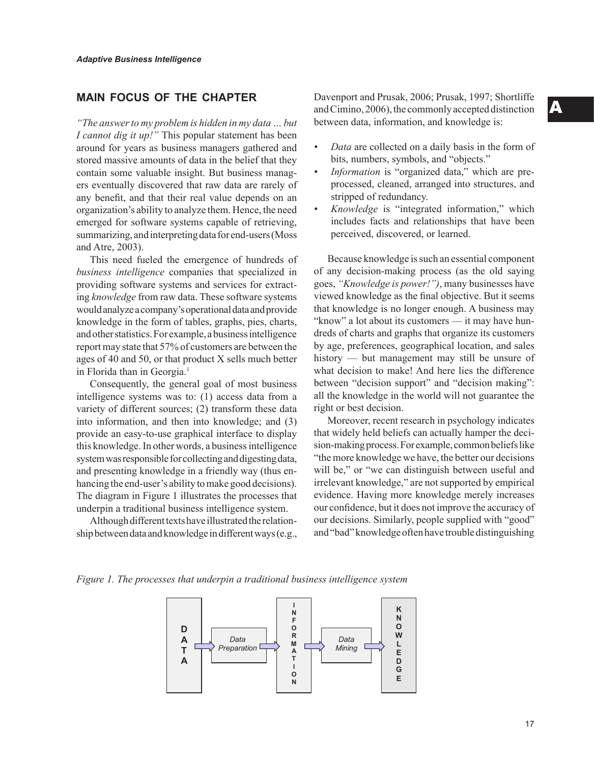*"The answer to my problem is hidden in my data … but I cannot dig it up!"* This popular statement has been around for years as business managers gathered and stored massive amounts of data in the belief that they contain some valuable insight. But business managers eventually discovered that raw data are rarely of any benefit, and that their real value depends on an organization's ability to analyze them. Hence, the need emerged for software systems capable of retrieving, summarizing, and interpreting data for end-users (Moss and Atre, 2003).

This need fueled the emergence of hundreds of *business intelligence* companies that specialized in providing software systems and services for extracting *knowledge* from raw data. These software systems would analyze a company's operational data and provide knowledge in the form of tables, graphs, pies, charts, and other statistics. For example, a business intelligence report may state that 57% of customers are between the ages of 40 and 50, or that product X sells much better in Florida than in Georgia.<sup>1</sup>

Consequently, the general goal of most business intelligence systems was to: (1) access data from a variety of different sources; (2) transform these data into information, and then into knowledge; and (3) provide an easy-to-use graphical interface to display this knowledge. In other words, a business intelligence system was responsible for collecting and digesting data, and presenting knowledge in a friendly way (thus enhancing the end-user's ability to make good decisions). The diagram in Figure 1 illustrates the processes that underpin a traditional business intelligence system.

Although different texts have illustrated the relationship between data and knowledge in different ways (e.g.,

**MAIN FOCUS OF THE CHAPTER** Davenport and Prusak, 2006; Prusak, 1997; Shortliffe **A**<br>and Cimino, 2006), the commonly accepted distinction Davenport and Prusak, 2006; Prusak, 1997; Shortliffe between data, information, and knowledge is:

- *Data* are collected on a daily basis in the form of bits, numbers, symbols, and "objects." *•*
- *Information* is "organized data," which are preprocessed, cleaned, arranged into structures, and stripped of redundancy. *•*
- *Knowledge* is "integrated information," which includes facts and relationships that have been perceived, discovered, or learned. *•*

Because knowledge is such an essential component of any decision-making process (as the old saying goes, *"Knowledge is power!")*, many businesses have viewed knowledge as the final objective. But it seems that knowledge is no longer enough. A business may "know" a lot about its customers — it may have hundreds of charts and graphs that organize its customers by age, preferences, geographical location, and sales history — but management may still be unsure of what decision to make! And here lies the difference between "decision support" and "decision making": all the knowledge in the world will not guarantee the right or best decision.

Moreover, recent research in psychology indicates that widely held beliefs can actually hamper the decision-making process. For example, common beliefs like "the more knowledge we have, the better our decisions will be," or "we can distinguish between useful and irrelevant knowledge," are not supported by empirical evidence. Having more knowledge merely increases our confidence, but it does not improve the accuracy of our decisions. Similarly, people supplied with "good" and "bad" knowledge often have trouble distinguishing

*Figure 1. The processes that underpin a traditional business intelligence system*